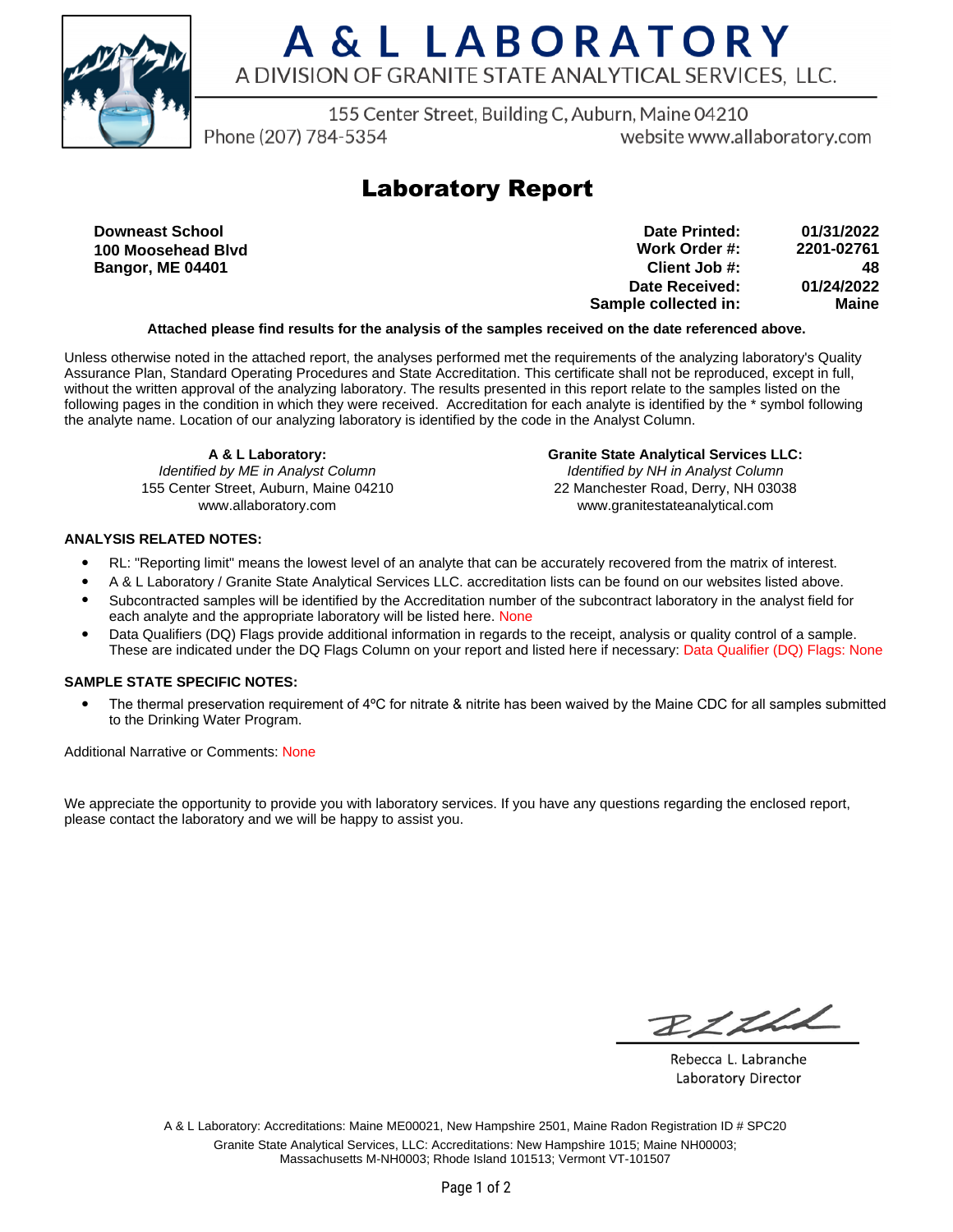

# A & L LABORATORY A DIVISION OF GRANITE STATE ANALYTICAL SERVICES, LLC.

155 Center Street, Building C, Auburn, Maine 04210

Phone (207) 784-5354

website www.allaboratory.com

### **Laboratory Report**

**Downeast School 100 Moosehead Blvd Bangor, ME 04401**

**Work Order #: Client Job #: Date Received: Sample collected in: 2201-02761 48 01/24/2022 Maine Date Printed: 01/31/2022**

### **Attached please find results for the analysis of the samples received on the date referenced above.**

Unless otherwise noted in the attached report, the analyses performed met the requirements of the analyzing laboratory's Quality Assurance Plan, Standard Operating Procedures and State Accreditation. This certificate shall not be reproduced, except in full, without the written approval of the analyzing laboratory. The results presented in this report relate to the samples listed on the following pages in the condition in which they were received. Accreditation for each analyte is identified by the \* symbol following the analyte name. Location of our analyzing laboratory is identified by the code in the Analyst Column.

**A & L Laboratory:** Identified by ME in Analyst Column 155 Center Street, Auburn, Maine 04210 www.allaboratory.com

**Granite State Analytical Services LLC:** Identified by NH in Analyst Column 22 Manchester Road, Derry, NH 03038 www.granitestateanalytical.com

### **ANALYSIS RELATED NOTES:**

- RL: "Reporting limit" means the lowest level of an analyte that can be accurately recovered from the matrix of interest.
- A & L Laboratory / Granite State Analytical Services LLC. accreditation lists can be found on our websites listed above.
- Subcontracted samples will be identified by the Accreditation number of the subcontract laboratory in the analyst field for each analyte and the appropriate laboratory will be listed here. None
- Data Qualifiers (DQ) Flags provide additional information in regards to the receipt, analysis or quality control of a sample. These are indicated under the DQ Flags Column on your report and listed here if necessary: Data Qualifier (DQ) Flags: None

#### **SAMPLE STATE SPECIFIC NOTES:**

• The thermal preservation requirement of 4°C for nitrate & nitrite has been waived by the Maine CDC for all samples submitted to the Drinking Water Program.

Additional Narrative or Comments: None

We appreciate the opportunity to provide you with laboratory services. If you have any questions regarding the enclosed report, please contact the laboratory and we will be happy to assist you.

RICHL

Rebecca L. Labranche Laboratory Director

A & L Laboratory: Accreditations: Maine ME00021, New Hampshire 2501, Maine Radon Registration ID # SPC20 Granite State Analytical Services, LLC: Accreditations: New Hampshire 1015; Maine NH00003; Massachusetts M-NH0003; Rhode Island 101513; Vermont VT-101507